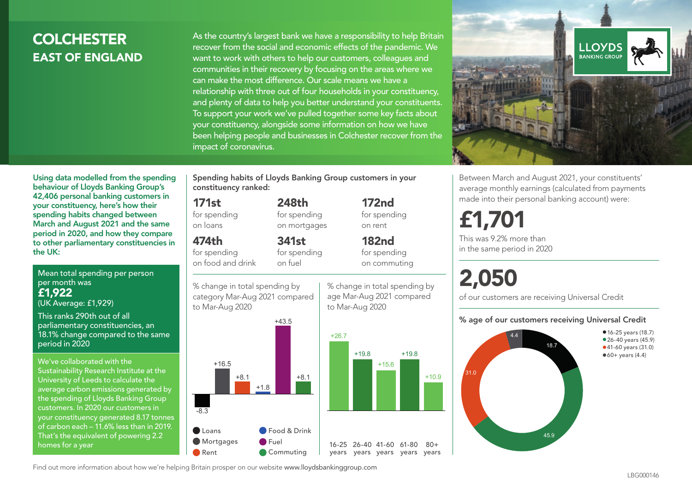# COLCHESTER EAST OF ENGLAND

As the country's largest bank we have a responsibility to help Britain recover from the social and economic effects of the pandemic. We want to work with others to help our customers, colleagues and communities in their recovery by focusing on the areas where we can make the most difference. Our scale means we have a relationship with three out of four households in your constituency, and plenty of data to help you better understand your constituents. To support your work we've pulled together some key facts about your constituency, alongside some information on how we have been helping people and businesses in Colchester recover from the impact of coronavirus.



Between March and August 2021, your constituents' average monthly earnings (calculated from payments made into their personal banking account) were:

# £1,701

This was 9.2% more than in the same period in 2020

# 2,050

of our customers are receiving Universal Credit

#### % age of our customers receiving Universal Credit



Using data modelled from the spending behaviour of Lloyds Banking Group's 42,406 personal banking customers in your constituency, here's how their spending habits changed between March and August 2021 and the same period in 2020, and how they compare to other parliamentary constituencies in the UK:

Mean total spending per person per month was £1,922 (UK Average: £1,929)

This ranks 290th out of all parliamentary constituencies, an 18.1% change compared to the same period in 2020

We've collaborated with the Sustainability Research Institute at the University of Leeds to calculate the average carbon emissions generated by the spending of Lloyds Banking Group customers. In 2020 our customers in your constituency generated 8.17 tonnes of carbon each – 11.6% less than in 2019. That's the equivalent of powering 2.2 homes for a year

Spending habits of Lloyds Banking Group customers in your constituency ranked:

> 248th for spending on mortgages

341st

# 171st

for spending on loans

474th

for spending on food and drink for spending on fuel

% change in total spending by category Mar-Aug 2021 compared



% change in total spending by age Mar-Aug 2021 compared to Mar-Aug 2020 on commuting

172nd for spending on rent

182nd for spending



Find out more information about how we're helping Britain prosper on our website www.lloydsbankinggroup.com